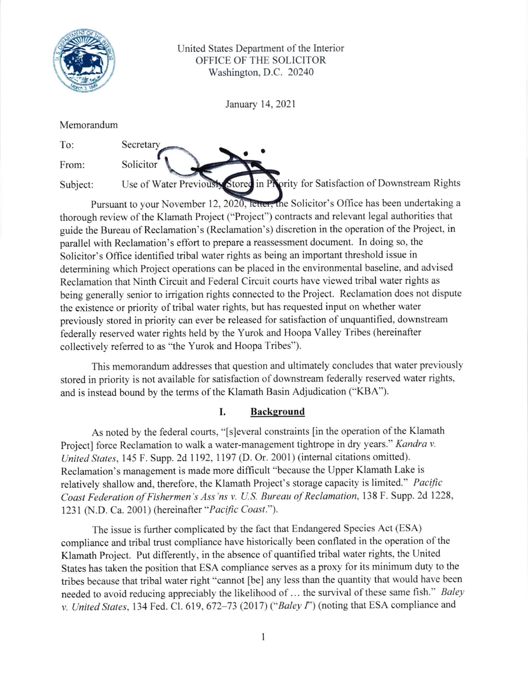

United States Department of the Interior OFFICE OF THE SOLICITOR Washington, D.C. 20240

January 14,2021

a'

Memorandum

Secretary

**Solicitor** 

|  | R<br>o |  |
|--|--------|--|

From:

Subject:

Use of Water Previously Stored in Priority for Satisfaction of Downstream Rights

Pursuant to your November 12, 2020, letter, the Solicitor's Office has been undertaking a thorough review of the Klamath Project ("Project") contracts and relevant legal authorities that guide the Bureau of Reclamation's (Reclamation's) discretion in the operation of the Project, in parallel with Reclamation's effort to prepare a reassessment document. ln doing so, the Solicitor's Office identified tribal water rights as being an important threshold issue in determining which Project operations can be placed in the environmental baseline, and advised Reclamation that Ninth Circuit and Federal Circuit courts have viewed tribal water rights as being generally senior to irrigation rights connected to the Project. Reclamation does not dispute the existence or priority of tribal water rights, but has requested input on whether water previously stored in priority can ever be released for satisfaction of unquantified, downstream federally reserved water rights held by the Yurok and Hoopa Valley Tribes (hereinafter collectively refened to as "the Yurok and Hoopa Tribes").

This memorandum addresses fiat question and ultimately concludes that water previously stored in priority is not available for satisfaction of downstream federally reserved water rights, and is instead bound by the terms of the Klamath Basin Adjudication ("KBA").

## I. Background

As noted by the federal courts, "[s]everal constraints [in the operation of the Klamath Project] force Reclamation to walk a water-management tightrope in dry years." Kandra v. United States, 145 F. Supp. 2d 1192, 1197 (D. Or. 2001) (internal citations omitted). Reclamation's management is made more difficult "because the Upper Klamath Lake is relatively shallow and, therefore, the Klamath Project's storage capacity is limited." Pacific Coast Federdtion of Fishermen's Ass'ns v. U.S. Bureau of Reclamation, 138 F. Supp. 2d 1228, 1231 (N.D. Ca. 2001) (hereinafter "Pacific Coast.").

The issue is further complicated by the fact that Endangered Species Act (ESA) compliance and tribal trust compliance have historically been conflated in the operation of the Klamath Project. Put differently, in the absence of quantified tribal water rights, the United States has taken the position that ESA compliance serves as a proxy for its minimum duty to the tribes because that tribal water right "cannot [be] any less than the quantity that would have been needed to avoid reducing appreciably the likelihood of ... the survival of these same fish." Baley v. United States, 134 Fed. Cl. 619, 672-73 (2017) ("Baley I") (noting that ESA compliance and